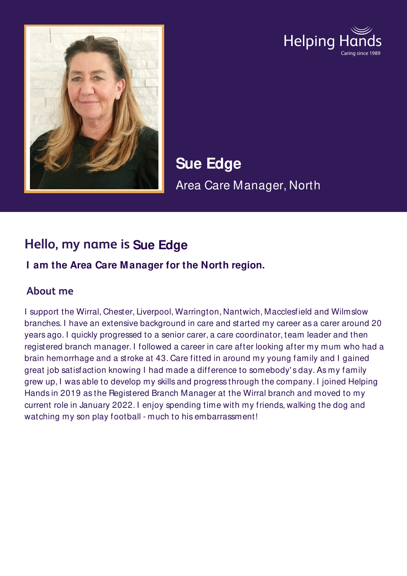



**Sue Edge**  Area Care Manager, North

# **Hello, my name is Sue Edge**

#### **I am the Area Care Manager for the North region.**

### **About me**

I support the Wirral, Chester, Liverpool, Warrington, Nantwich, Macclesfield and Wilmslow branches. I have an extensive background in care and started my career as a carer around 20 years ago. I quickly progressed to a senior carer, a care coordinator, team leader and then registered branch manager. I followed a career in care after looking after my mum who had a brain hemorrhage and a stroke at 43. Care fitted in around my young family and I gained great job satisfaction knowing I had made a difference to somebody' s day. As my family grew up, I was able to develop my skills and progress through the company. I joined Helping Hands in 2019 as the Registered Branch Manager at the Wirral branch and moved to my current role in January 2022. I enjoy spending time with my friends, walking the dog and watching my son play football - much to his embarrassment!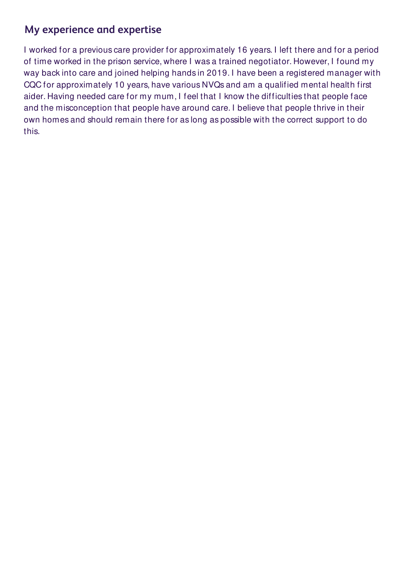## **My experience and expertise**

I worked for a previous care provider for approximately 16 years. I left there and for a period of time worked in the prison service, where I was a trained negotiator. However, I found my way back into care and joined helping hands in 2019. I have been a registered manager with CQC for approximately 10 years, have various NVQs and am a qualified mental health first aider. Having needed care for my mum, I feel that I know the difficulties that people face and the misconception that people have around care. I believe that people thrive in their own homes and should remain there for as long as possible with the correct support to do this.